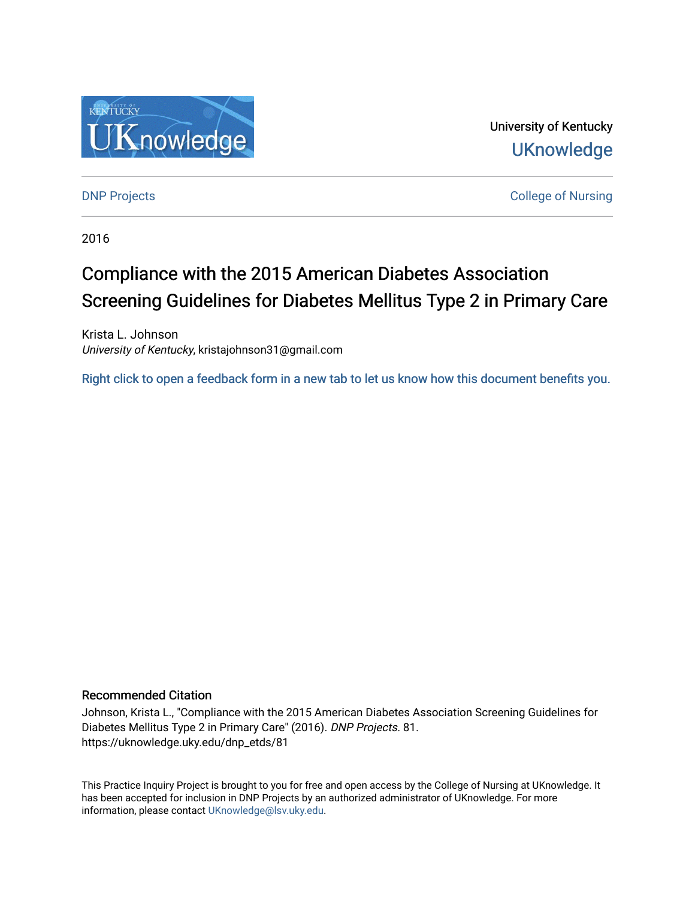

University of Kentucky **UKnowledge** 

**DNP Projects** College of Nursing

2016

# Compliance with the 2015 American Diabetes Association Screening Guidelines for Diabetes Mellitus Type 2 in Primary Care

Krista L. Johnson University of Kentucky, kristajohnson31@gmail.com

[Right click to open a feedback form in a new tab to let us know how this document benefits you.](https://uky.az1.qualtrics.com/jfe/form/SV_9mq8fx2GnONRfz7)

#### Recommended Citation

Johnson, Krista L., "Compliance with the 2015 American Diabetes Association Screening Guidelines for Diabetes Mellitus Type 2 in Primary Care" (2016). DNP Projects. 81. https://uknowledge.uky.edu/dnp\_etds/81

This Practice Inquiry Project is brought to you for free and open access by the College of Nursing at UKnowledge. It has been accepted for inclusion in DNP Projects by an authorized administrator of UKnowledge. For more information, please contact [UKnowledge@lsv.uky.edu](mailto:UKnowledge@lsv.uky.edu).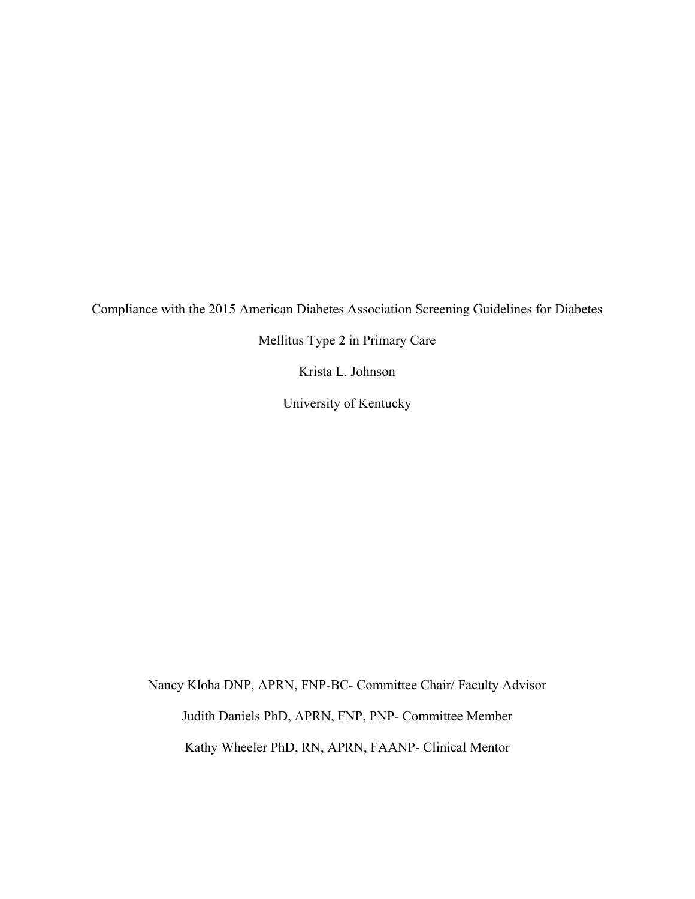Compliance with the 2015 American Diabetes Association Screening Guidelines for Diabetes

Mellitus Type 2 in Primary Care

Krista L. Johnson

University of Kentucky

Nancy Kloha DNP, APRN, FNP-BC- Committee Chair/ Faculty Advisor Judith Daniels PhD, APRN, FNP, PNP- Committee Member Kathy Wheeler PhD, RN, APRN, FAANP- Clinical Mentor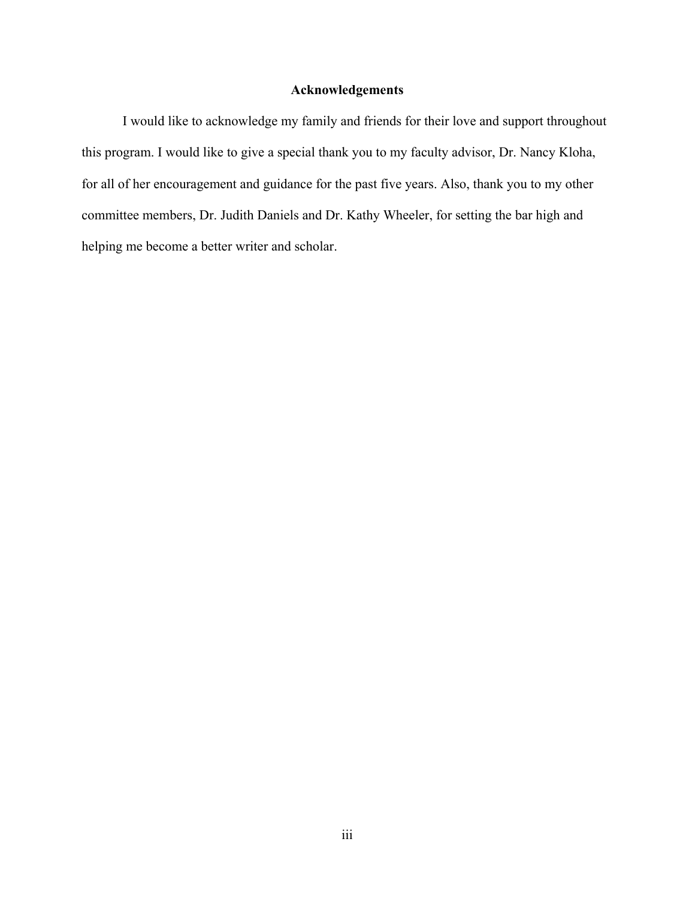#### **Acknowledgements**

I would like to acknowledge my family and friends for their love and support throughout this program. I would like to give a special thank you to my faculty advisor, Dr. Nancy Kloha, for all of her encouragement and guidance for the past five years. Also, thank you to my other committee members, Dr. Judith Daniels and Dr. Kathy Wheeler, for setting the bar high and helping me become a better writer and scholar.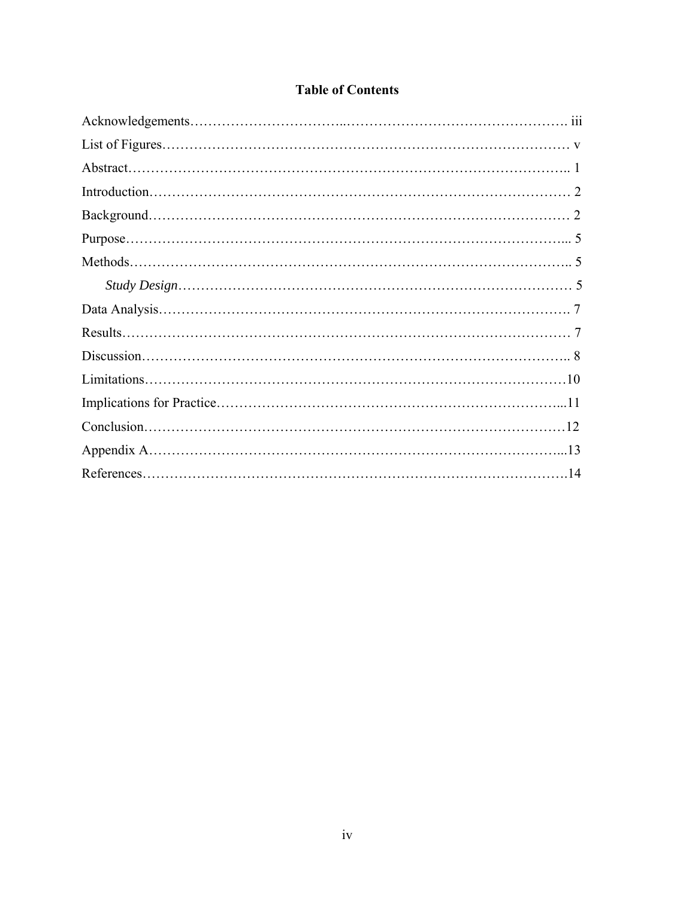### **Table of Contents**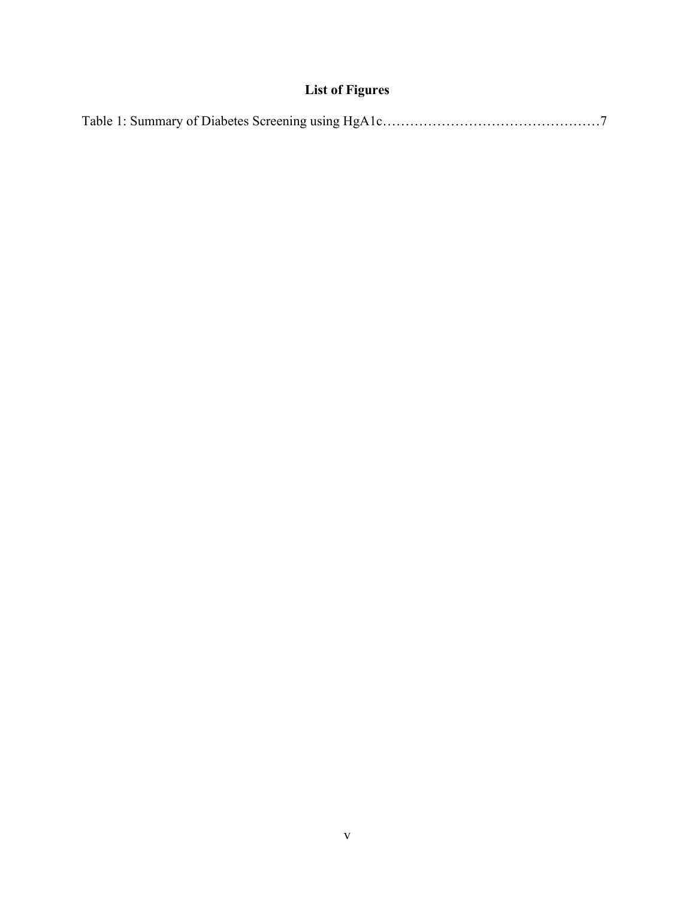# **List of Figures**

|--|--|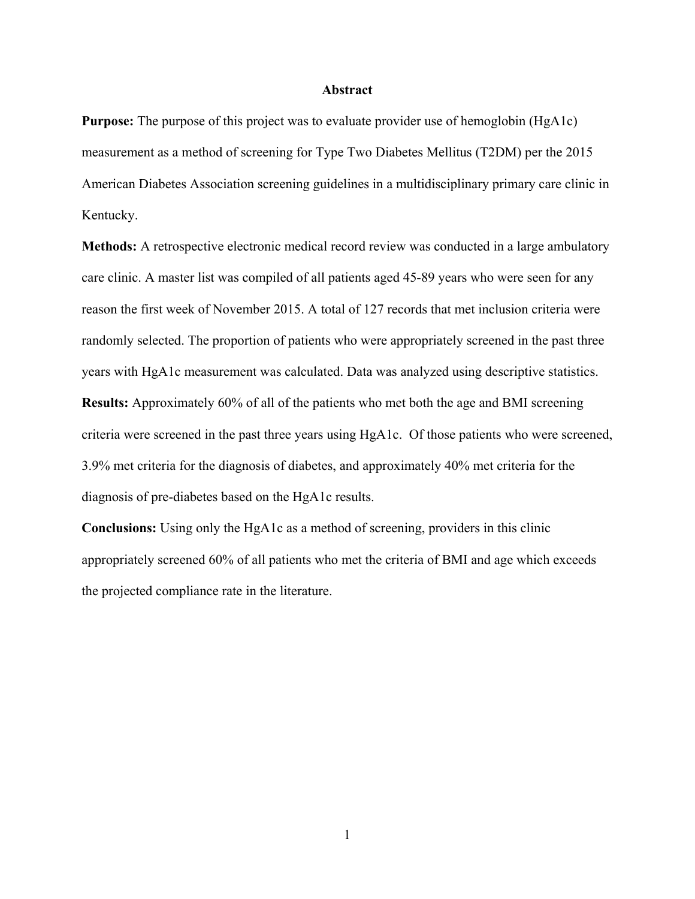#### **Abstract**

**Purpose:** The purpose of this project was to evaluate provider use of hemoglobin (HgA1c) measurement as a method of screening for Type Two Diabetes Mellitus (T2DM) per the 2015 American Diabetes Association screening guidelines in a multidisciplinary primary care clinic in Kentucky.

**Methods:** A retrospective electronic medical record review was conducted in a large ambulatory care clinic. A master list was compiled of all patients aged 45-89 years who were seen for any reason the first week of November 2015. A total of 127 records that met inclusion criteria were randomly selected. The proportion of patients who were appropriately screened in the past three years with HgA1c measurement was calculated. Data was analyzed using descriptive statistics. **Results:** Approximately 60% of all of the patients who met both the age and BMI screening criteria were screened in the past three years using HgA1c. Of those patients who were screened, 3.9% met criteria for the diagnosis of diabetes, and approximately 40% met criteria for the diagnosis of pre-diabetes based on the HgA1c results.

**Conclusions:** Using only the HgA1c as a method of screening, providers in this clinic appropriately screened 60% of all patients who met the criteria of BMI and age which exceeds the projected compliance rate in the literature.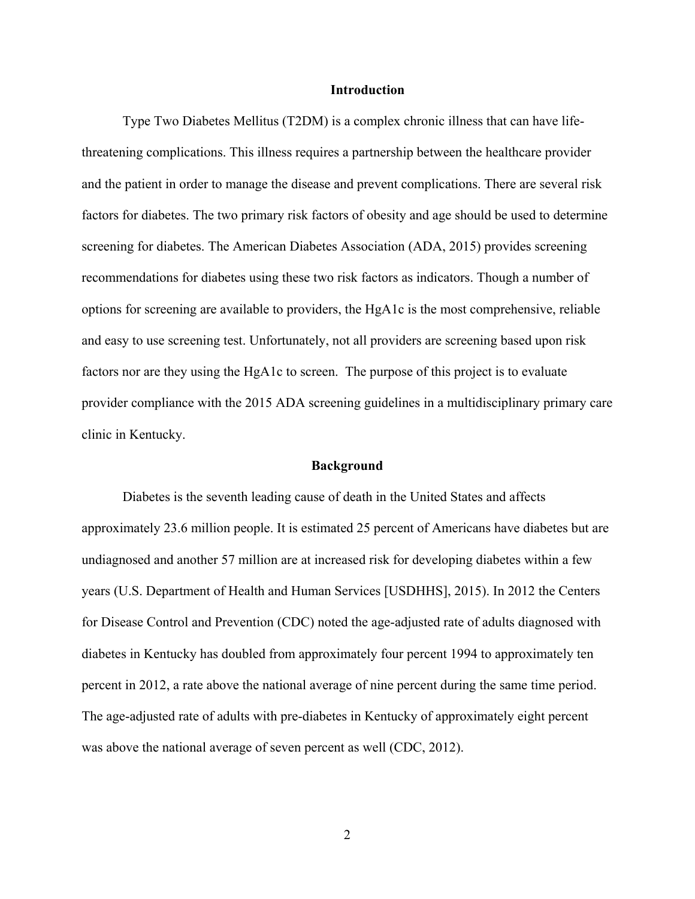#### **Introduction**

Type Two Diabetes Mellitus (T2DM) is a complex chronic illness that can have lifethreatening complications. This illness requires a partnership between the healthcare provider and the patient in order to manage the disease and prevent complications. There are several risk factors for diabetes. The two primary risk factors of obesity and age should be used to determine screening for diabetes. The American Diabetes Association (ADA, 2015) provides screening recommendations for diabetes using these two risk factors as indicators. Though a number of options for screening are available to providers, the HgA1c is the most comprehensive, reliable and easy to use screening test. Unfortunately, not all providers are screening based upon risk factors nor are they using the HgA1c to screen. The purpose of this project is to evaluate provider compliance with the 2015 ADA screening guidelines in a multidisciplinary primary care clinic in Kentucky.

#### **Background**

 Diabetes is the seventh leading cause of death in the United States and affects approximately 23.6 million people. It is estimated 25 percent of Americans have diabetes but are undiagnosed and another 57 million are at increased risk for developing diabetes within a few years (U.S. Department of Health and Human Services [USDHHS], 2015). In 2012 the Centers for Disease Control and Prevention (CDC) noted the age-adjusted rate of adults diagnosed with diabetes in Kentucky has doubled from approximately four percent 1994 to approximately ten percent in 2012, a rate above the national average of nine percent during the same time period. The age-adjusted rate of adults with pre-diabetes in Kentucky of approximately eight percent was above the national average of seven percent as well (CDC, 2012).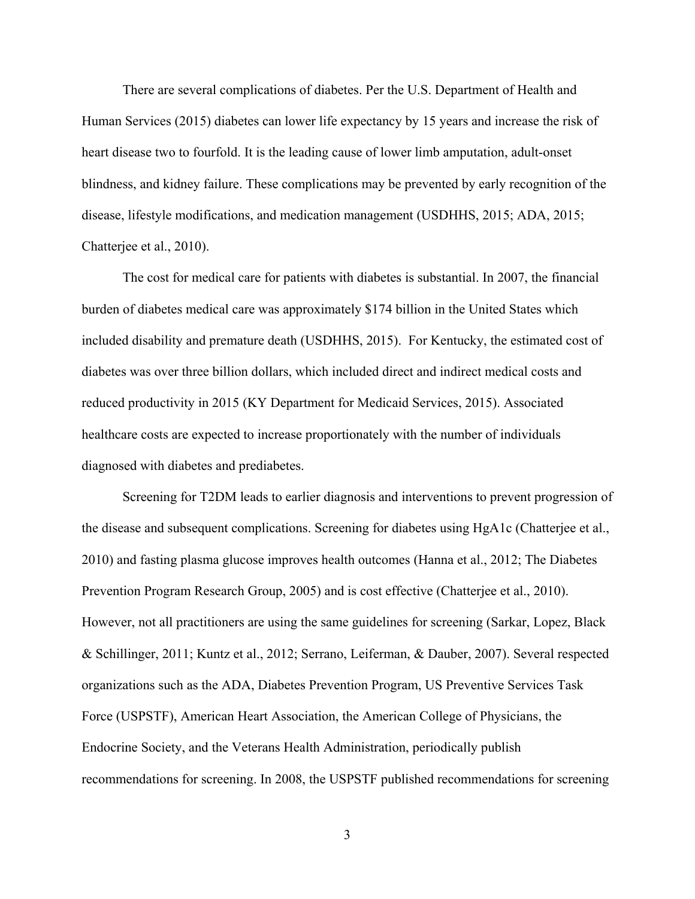There are several complications of diabetes. Per the U.S. Department of Health and Human Services (2015) diabetes can lower life expectancy by 15 years and increase the risk of heart disease two to fourfold. It is the leading cause of lower limb amputation, adult-onset blindness, and kidney failure. These complications may be prevented by early recognition of the disease, lifestyle modifications, and medication management (USDHHS, 2015; ADA, 2015; Chatterjee et al., 2010).

The cost for medical care for patients with diabetes is substantial. In 2007, the financial burden of diabetes medical care was approximately \$174 billion in the United States which included disability and premature death (USDHHS, 2015). For Kentucky, the estimated cost of diabetes was over three billion dollars, which included direct and indirect medical costs and reduced productivity in 2015 (KY Department for Medicaid Services, 2015). Associated healthcare costs are expected to increase proportionately with the number of individuals diagnosed with diabetes and prediabetes.

Screening for T2DM leads to earlier diagnosis and interventions to prevent progression of the disease and subsequent complications. Screening for diabetes using HgA1c (Chatterjee et al., 2010) and fasting plasma glucose improves health outcomes (Hanna et al., 2012; The Diabetes Prevention Program Research Group, 2005) and is cost effective (Chatterjee et al., 2010). However, not all practitioners are using the same guidelines for screening (Sarkar, Lopez, Black & Schillinger, 2011; Kuntz et al., 2012; Serrano, Leiferman, & Dauber, 2007). Several respected organizations such as the ADA, Diabetes Prevention Program, US Preventive Services Task Force (USPSTF), American Heart Association, the American College of Physicians, the Endocrine Society, and the Veterans Health Administration, periodically publish recommendations for screening. In 2008, the USPSTF published recommendations for screening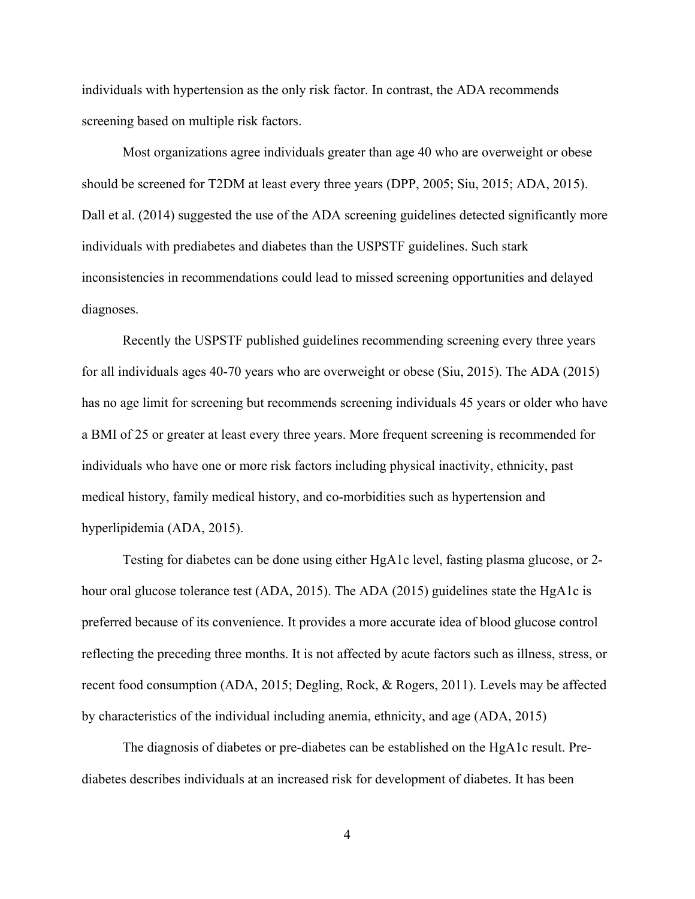individuals with hypertension as the only risk factor. In contrast, the ADA recommends screening based on multiple risk factors.

Most organizations agree individuals greater than age 40 who are overweight or obese should be screened for T2DM at least every three years (DPP, 2005; Siu, 2015; ADA, 2015). Dall et al. (2014) suggested the use of the ADA screening guidelines detected significantly more individuals with prediabetes and diabetes than the USPSTF guidelines. Such stark inconsistencies in recommendations could lead to missed screening opportunities and delayed diagnoses.

Recently the USPSTF published guidelines recommending screening every three years for all individuals ages 40-70 years who are overweight or obese (Siu, 2015). The ADA (2015) has no age limit for screening but recommends screening individuals 45 years or older who have a BMI of 25 or greater at least every three years. More frequent screening is recommended for individuals who have one or more risk factors including physical inactivity, ethnicity, past medical history, family medical history, and co-morbidities such as hypertension and hyperlipidemia (ADA, 2015).

 Testing for diabetes can be done using either HgA1c level, fasting plasma glucose, or 2 hour oral glucose tolerance test (ADA, 2015). The ADA (2015) guidelines state the HgA1c is preferred because of its convenience. It provides a more accurate idea of blood glucose control reflecting the preceding three months. It is not affected by acute factors such as illness, stress, or recent food consumption (ADA, 2015; Degling, Rock, & Rogers, 2011). Levels may be affected by characteristics of the individual including anemia, ethnicity, and age (ADA, 2015)

 The diagnosis of diabetes or pre-diabetes can be established on the HgA1c result. Prediabetes describes individuals at an increased risk for development of diabetes. It has been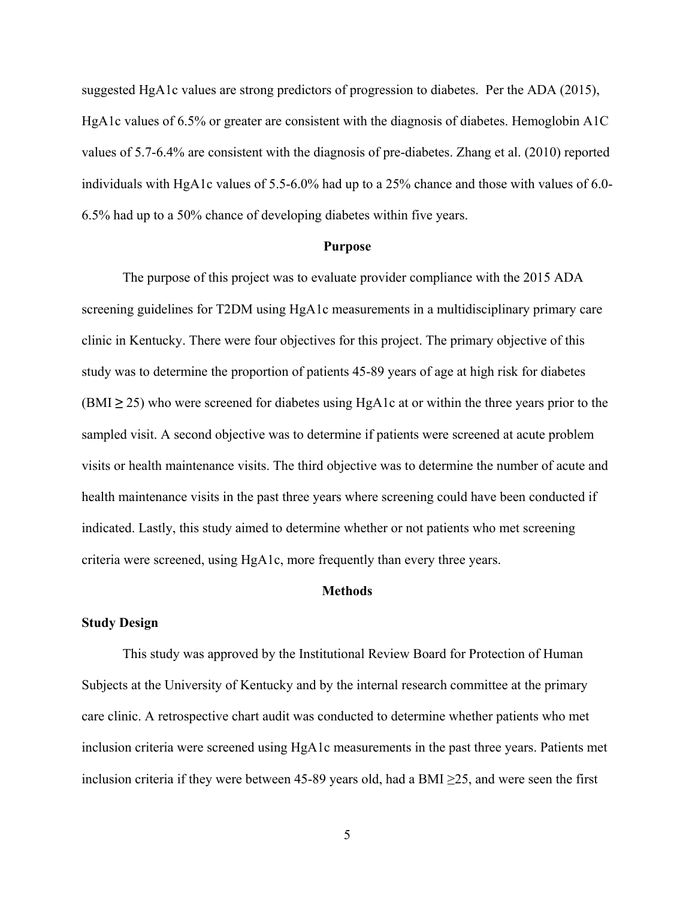suggested HgA1c values are strong predictors of progression to diabetes. Per the ADA (2015), HgA1c values of 6.5% or greater are consistent with the diagnosis of diabetes. Hemoglobin A1C values of 5.7-6.4% are consistent with the diagnosis of pre-diabetes. Zhang et al. (2010) reported individuals with HgA1c values of 5.5-6.0% had up to a 25% chance and those with values of 6.0- 6.5% had up to a 50% chance of developing diabetes within five years.

#### **Purpose**

 The purpose of this project was to evaluate provider compliance with the 2015 ADA screening guidelines for T2DM using HgA1c measurements in a multidisciplinary primary care clinic in Kentucky. There were four objectives for this project. The primary objective of this study was to determine the proportion of patients 45-89 years of age at high risk for diabetes  $(BMI \ge 25)$  who were screened for diabetes using HgA1c at or within the three years prior to the sampled visit. A second objective was to determine if patients were screened at acute problem visits or health maintenance visits. The third objective was to determine the number of acute and health maintenance visits in the past three years where screening could have been conducted if indicated. Lastly, this study aimed to determine whether or not patients who met screening criteria were screened, using HgA1c, more frequently than every three years.

#### **Methods**

#### **Study Design**

 This study was approved by the Institutional Review Board for Protection of Human Subjects at the University of Kentucky and by the internal research committee at the primary care clinic. A retrospective chart audit was conducted to determine whether patients who met inclusion criteria were screened using HgA1c measurements in the past three years. Patients met inclusion criteria if they were between 45-89 years old, had a BMI  $\geq$ 25, and were seen the first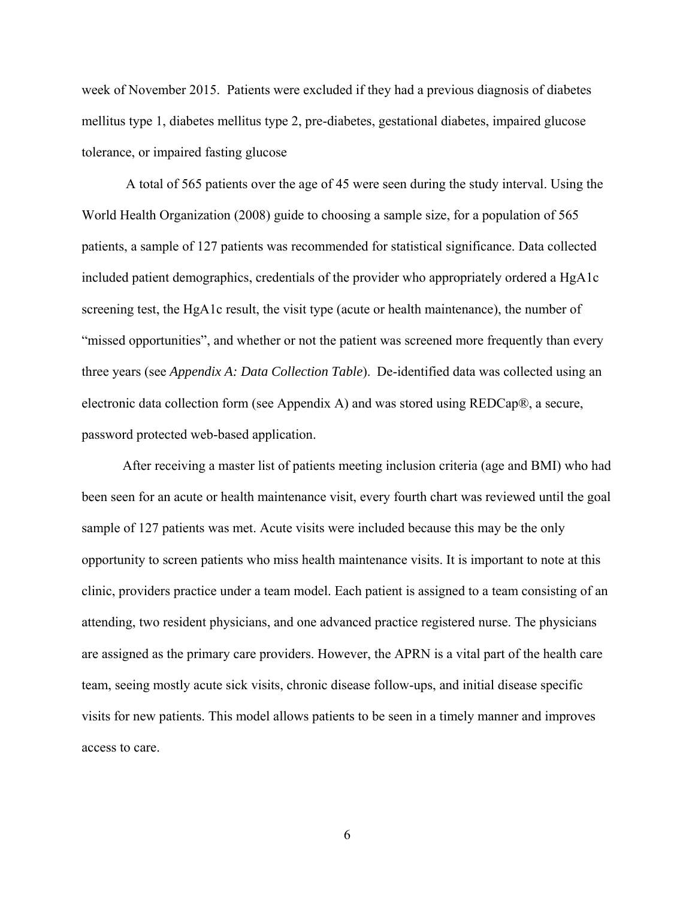week of November 2015. Patients were excluded if they had a previous diagnosis of diabetes mellitus type 1, diabetes mellitus type 2, pre-diabetes, gestational diabetes, impaired glucose tolerance, or impaired fasting glucose

 A total of 565 patients over the age of 45 were seen during the study interval. Using the World Health Organization (2008) guide to choosing a sample size, for a population of 565 patients, a sample of 127 patients was recommended for statistical significance. Data collected included patient demographics, credentials of the provider who appropriately ordered a HgA1c screening test, the HgA1c result, the visit type (acute or health maintenance), the number of "missed opportunities", and whether or not the patient was screened more frequently than every three years (see *Appendix A: Data Collection Table*). De-identified data was collected using an electronic data collection form (see Appendix A) and was stored using REDCap®, a secure, password protected web-based application.

After receiving a master list of patients meeting inclusion criteria (age and BMI) who had been seen for an acute or health maintenance visit, every fourth chart was reviewed until the goal sample of 127 patients was met. Acute visits were included because this may be the only opportunity to screen patients who miss health maintenance visits. It is important to note at this clinic, providers practice under a team model. Each patient is assigned to a team consisting of an attending, two resident physicians, and one advanced practice registered nurse. The physicians are assigned as the primary care providers. However, the APRN is a vital part of the health care team, seeing mostly acute sick visits, chronic disease follow-ups, and initial disease specific visits for new patients. This model allows patients to be seen in a timely manner and improves access to care.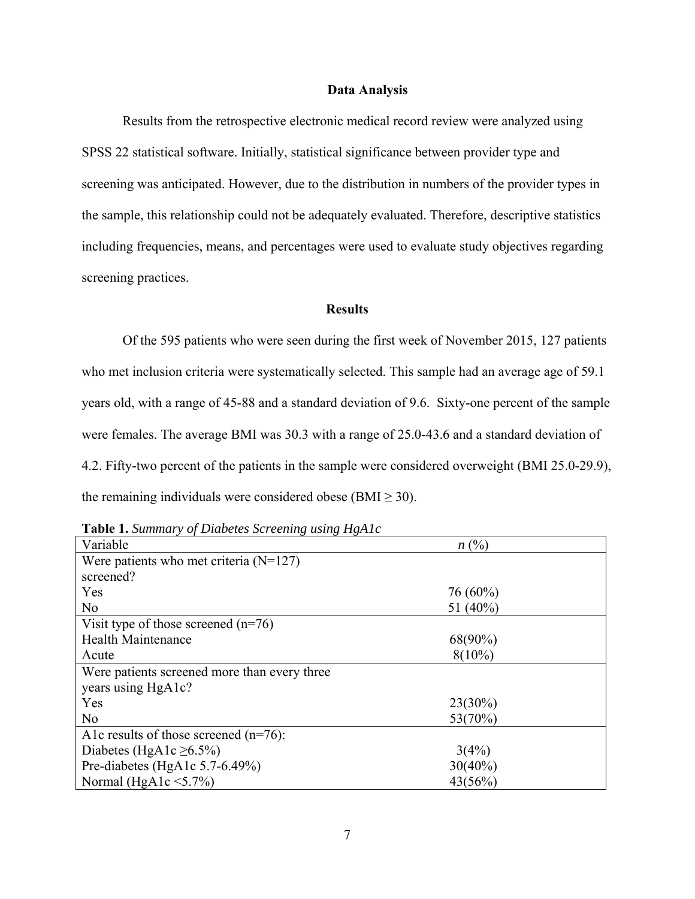#### **Data Analysis**

 Results from the retrospective electronic medical record review were analyzed using SPSS 22 statistical software. Initially, statistical significance between provider type and screening was anticipated. However, due to the distribution in numbers of the provider types in the sample, this relationship could not be adequately evaluated. Therefore, descriptive statistics including frequencies, means, and percentages were used to evaluate study objectives regarding screening practices.

#### **Results**

Of the 595 patients who were seen during the first week of November 2015, 127 patients who met inclusion criteria were systematically selected. This sample had an average age of 59.1 years old, with a range of 45-88 and a standard deviation of 9.6. Sixty-one percent of the sample were females. The average BMI was 30.3 with a range of 25.0-43.6 and a standard deviation of 4.2. Fifty-two percent of the patients in the sample were considered overweight (BMI 25.0-29.9), the remaining individuals were considered obese (BMI  $\geq$  30).

| Variable                                     | $n(^{0}\!/_{0})$ |
|----------------------------------------------|------------------|
| Were patients who met criteria $(N=127)$     |                  |
| screened?                                    |                  |
| Yes                                          | $76(60\%)$       |
| N <sub>0</sub>                               | 51 $(40\%)$      |
| Visit type of those screened $(n=76)$        |                  |
| <b>Health Maintenance</b>                    | $68(90\%)$       |
| Acute                                        | $8(10\%)$        |
| Were patients screened more than every three |                  |
| years using HgA1c?                           |                  |
| Yes                                          | $23(30\%)$       |
| N <sub>o</sub>                               | 53(70%)          |
| A1c results of those screened $(n=76)$ :     |                  |
| Diabetes (HgA1c $\geq 6.5\%$ )               | 3(4%)            |
| Pre-diabetes (HgA1c 5.7-6.49%)               | $30(40\%)$       |
| Normal (HgA1c $\leq$ 5.7%)                   | 43(56%)          |

**Table 1.** *Summary of Diabetes Screening using HgA1c*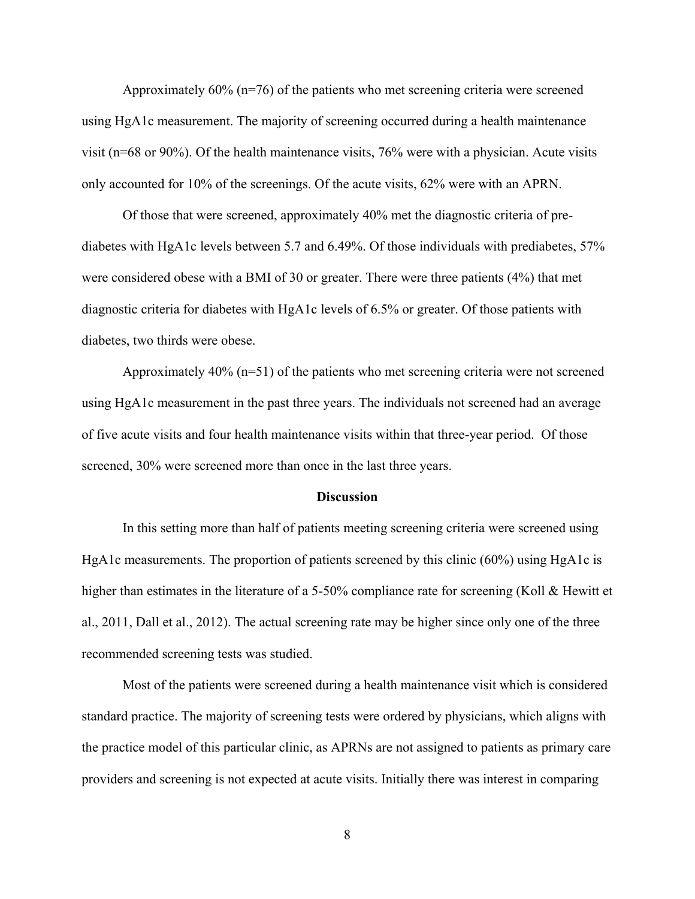Approximately 60% (n=76) of the patients who met screening criteria were screened using HgA1c measurement. The majority of screening occurred during a health maintenance visit (n=68 or 90%). Of the health maintenance visits, 76% were with a physician. Acute visits only accounted for 10% of the screenings. Of the acute visits, 62% were with an APRN.

Of those that were screened, approximately 40% met the diagnostic criteria of prediabetes with HgA1c levels between 5.7 and 6.49%. Of those individuals with prediabetes, 57% were considered obese with a BMI of 30 or greater. There were three patients (4%) that met diagnostic criteria for diabetes with HgA1c levels of 6.5% or greater. Of those patients with diabetes, two thirds were obese.

Approximately 40% (n=51) of the patients who met screening criteria were not screened using HgA1c measurement in the past three years. The individuals not screened had an average of five acute visits and four health maintenance visits within that three-year period. Of those screened, 30% were screened more than once in the last three years.

#### **Discussion**

 In this setting more than half of patients meeting screening criteria were screened using HgA1c measurements. The proportion of patients screened by this clinic (60%) using HgA1c is higher than estimates in the literature of a 5-50% compliance rate for screening (Koll & Hewitt et al., 2011, Dall et al., 2012). The actual screening rate may be higher since only one of the three recommended screening tests was studied.

Most of the patients were screened during a health maintenance visit which is considered standard practice. The majority of screening tests were ordered by physicians, which aligns with the practice model of this particular clinic, as APRNs are not assigned to patients as primary care providers and screening is not expected at acute visits. Initially there was interest in comparing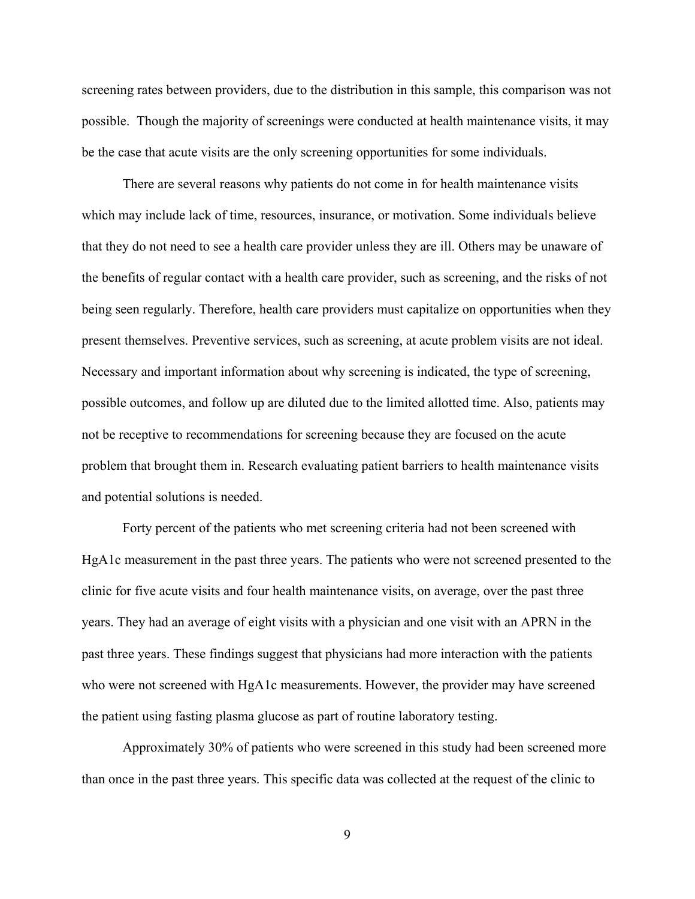screening rates between providers, due to the distribution in this sample, this comparison was not possible. Though the majority of screenings were conducted at health maintenance visits, it may be the case that acute visits are the only screening opportunities for some individuals.

There are several reasons why patients do not come in for health maintenance visits which may include lack of time, resources, insurance, or motivation. Some individuals believe that they do not need to see a health care provider unless they are ill. Others may be unaware of the benefits of regular contact with a health care provider, such as screening, and the risks of not being seen regularly. Therefore, health care providers must capitalize on opportunities when they present themselves. Preventive services, such as screening, at acute problem visits are not ideal. Necessary and important information about why screening is indicated, the type of screening, possible outcomes, and follow up are diluted due to the limited allotted time. Also, patients may not be receptive to recommendations for screening because they are focused on the acute problem that brought them in. Research evaluating patient barriers to health maintenance visits and potential solutions is needed.

Forty percent of the patients who met screening criteria had not been screened with HgA1c measurement in the past three years. The patients who were not screened presented to the clinic for five acute visits and four health maintenance visits, on average, over the past three years. They had an average of eight visits with a physician and one visit with an APRN in the past three years. These findings suggest that physicians had more interaction with the patients who were not screened with HgA1c measurements. However, the provider may have screened the patient using fasting plasma glucose as part of routine laboratory testing.

 Approximately 30% of patients who were screened in this study had been screened more than once in the past three years. This specific data was collected at the request of the clinic to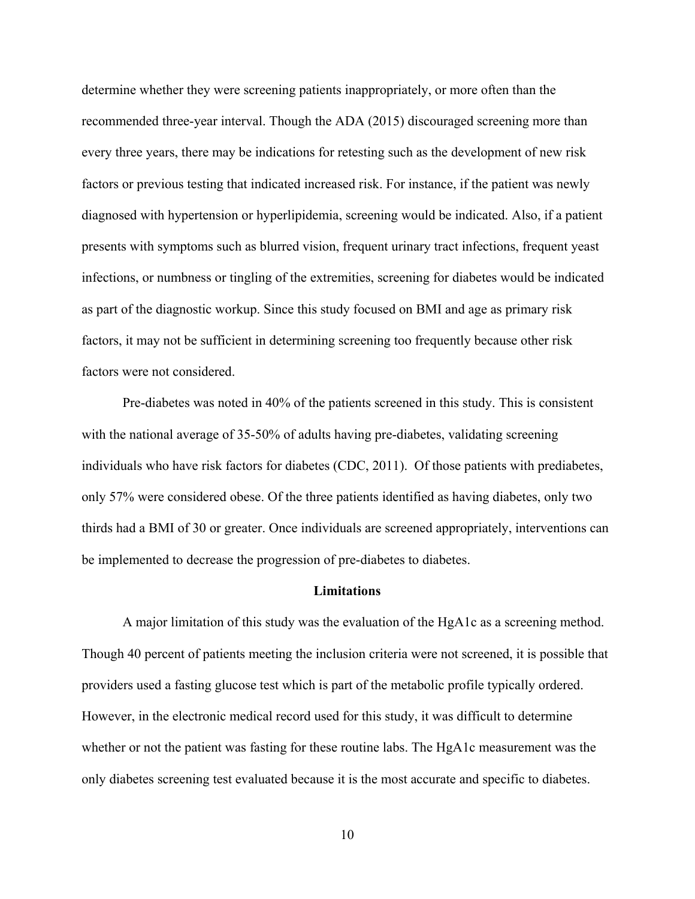determine whether they were screening patients inappropriately, or more often than the recommended three-year interval. Though the ADA (2015) discouraged screening more than every three years, there may be indications for retesting such as the development of new risk factors or previous testing that indicated increased risk. For instance, if the patient was newly diagnosed with hypertension or hyperlipidemia, screening would be indicated. Also, if a patient presents with symptoms such as blurred vision, frequent urinary tract infections, frequent yeast infections, or numbness or tingling of the extremities, screening for diabetes would be indicated as part of the diagnostic workup. Since this study focused on BMI and age as primary risk factors, it may not be sufficient in determining screening too frequently because other risk factors were not considered.

 Pre-diabetes was noted in 40% of the patients screened in this study. This is consistent with the national average of 35-50% of adults having pre-diabetes, validating screening individuals who have risk factors for diabetes (CDC, 2011). Of those patients with prediabetes, only 57% were considered obese. Of the three patients identified as having diabetes, only two thirds had a BMI of 30 or greater. Once individuals are screened appropriately, interventions can be implemented to decrease the progression of pre-diabetes to diabetes.

#### **Limitations**

A major limitation of this study was the evaluation of the HgA1c as a screening method. Though 40 percent of patients meeting the inclusion criteria were not screened, it is possible that providers used a fasting glucose test which is part of the metabolic profile typically ordered. However, in the electronic medical record used for this study, it was difficult to determine whether or not the patient was fasting for these routine labs. The HgA1c measurement was the only diabetes screening test evaluated because it is the most accurate and specific to diabetes.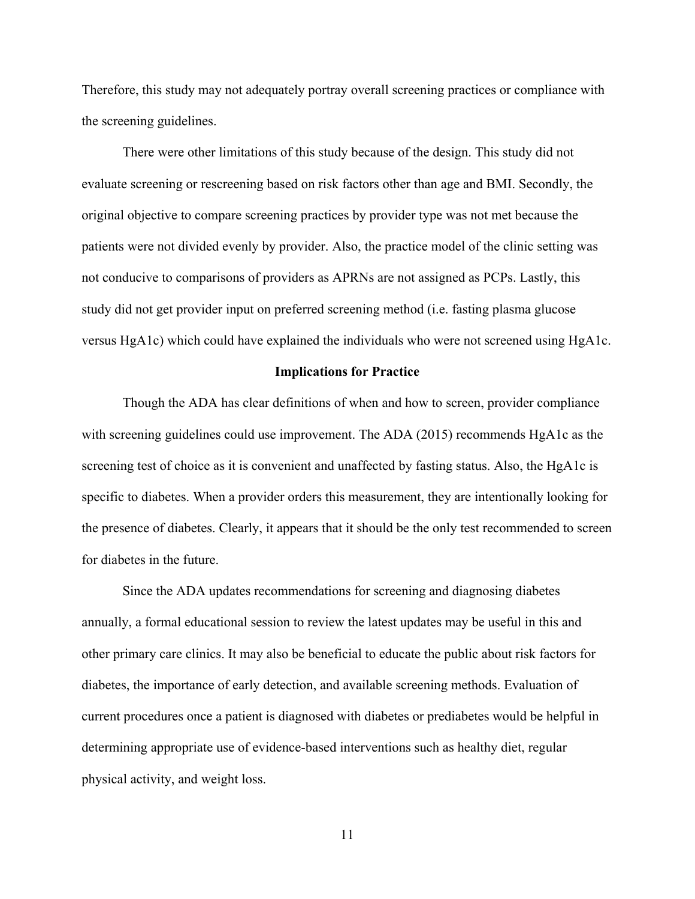Therefore, this study may not adequately portray overall screening practices or compliance with the screening guidelines.

 There were other limitations of this study because of the design. This study did not evaluate screening or rescreening based on risk factors other than age and BMI. Secondly, the original objective to compare screening practices by provider type was not met because the patients were not divided evenly by provider. Also, the practice model of the clinic setting was not conducive to comparisons of providers as APRNs are not assigned as PCPs. Lastly, this study did not get provider input on preferred screening method (i.e. fasting plasma glucose versus HgA1c) which could have explained the individuals who were not screened using HgA1c.

#### **Implications for Practice**

 Though the ADA has clear definitions of when and how to screen, provider compliance with screening guidelines could use improvement. The ADA (2015) recommends HgA1c as the screening test of choice as it is convenient and unaffected by fasting status. Also, the HgA1c is specific to diabetes. When a provider orders this measurement, they are intentionally looking for the presence of diabetes. Clearly, it appears that it should be the only test recommended to screen for diabetes in the future.

 Since the ADA updates recommendations for screening and diagnosing diabetes annually, a formal educational session to review the latest updates may be useful in this and other primary care clinics. It may also be beneficial to educate the public about risk factors for diabetes, the importance of early detection, and available screening methods. Evaluation of current procedures once a patient is diagnosed with diabetes or prediabetes would be helpful in determining appropriate use of evidence-based interventions such as healthy diet, regular physical activity, and weight loss.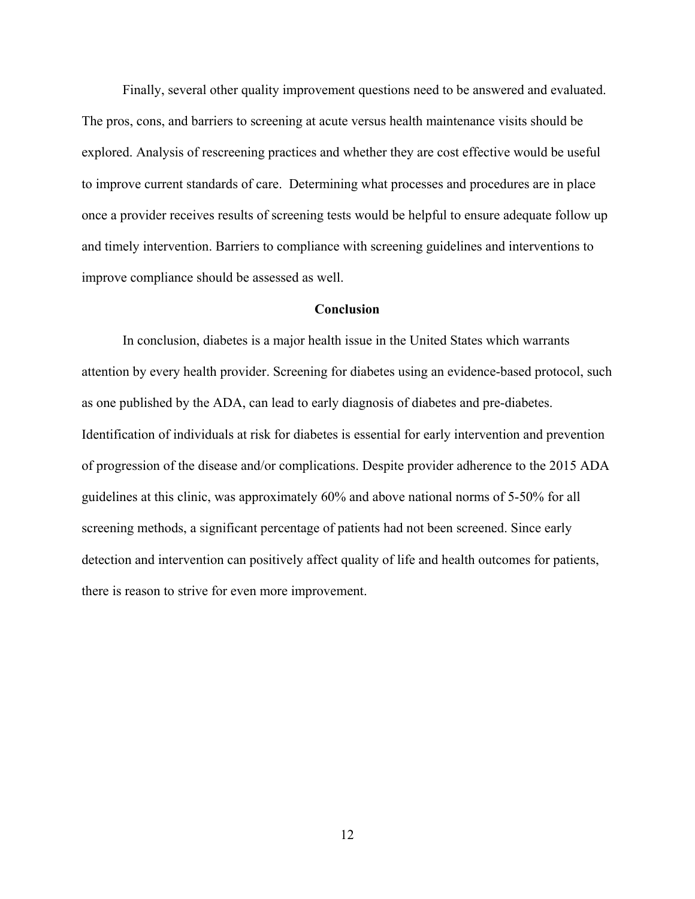Finally, several other quality improvement questions need to be answered and evaluated. The pros, cons, and barriers to screening at acute versus health maintenance visits should be explored. Analysis of rescreening practices and whether they are cost effective would be useful to improve current standards of care. Determining what processes and procedures are in place once a provider receives results of screening tests would be helpful to ensure adequate follow up and timely intervention. Barriers to compliance with screening guidelines and interventions to improve compliance should be assessed as well.

#### **Conclusion**

In conclusion, diabetes is a major health issue in the United States which warrants attention by every health provider. Screening for diabetes using an evidence-based protocol, such as one published by the ADA, can lead to early diagnosis of diabetes and pre-diabetes. Identification of individuals at risk for diabetes is essential for early intervention and prevention of progression of the disease and/or complications. Despite provider adherence to the 2015 ADA guidelines at this clinic, was approximately 60% and above national norms of 5-50% for all screening methods, a significant percentage of patients had not been screened. Since early detection and intervention can positively affect quality of life and health outcomes for patients, there is reason to strive for even more improvement.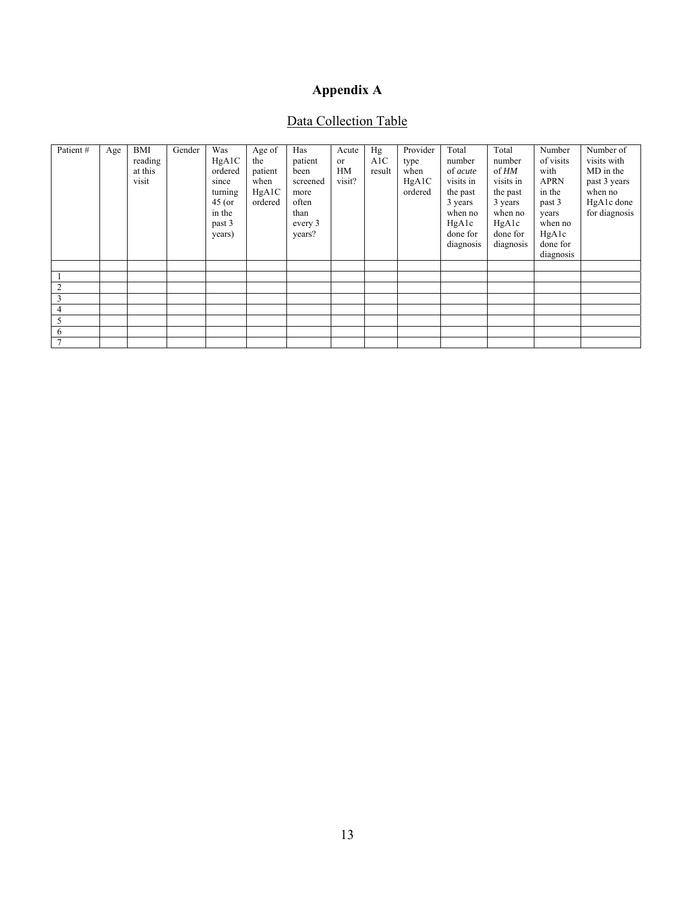# **Appendix A**

# Data Collection Table

| Patient# | Age | BMI<br>reading<br>at this<br>visit | Gender | Was<br>HgA1C<br>ordered<br>since<br>turning<br>$45$ (or<br>in the<br>past 3<br>years) | Age of<br>the<br>patient<br>when<br>HgA1C<br>ordered | Has<br>patient<br>been<br>screened<br>more<br>often<br>than<br>every 3<br>years? | Acute<br><sub>or</sub><br>HM<br>visit? | Hg<br>A1C<br>result | Provider<br>type<br>when<br>HgA1C<br>ordered | Total<br>number<br>of acute<br>visits in<br>the past<br>3 years<br>when no<br>HgA1c<br>done for<br>diagnosis | Total<br>number<br>of HM<br>visits in<br>the past<br>3 years<br>when no<br>HgA1c<br>done for<br>diagnosis | Number<br>of visits<br>with<br><b>APRN</b><br>in the<br>past 3<br>years<br>when no<br>HgA1c<br>done for<br>diagnosis | Number of<br>visits with<br>MD in the<br>past 3 years<br>when no<br>HgA1c done<br>for diagnosis |
|----------|-----|------------------------------------|--------|---------------------------------------------------------------------------------------|------------------------------------------------------|----------------------------------------------------------------------------------|----------------------------------------|---------------------|----------------------------------------------|--------------------------------------------------------------------------------------------------------------|-----------------------------------------------------------------------------------------------------------|----------------------------------------------------------------------------------------------------------------------|-------------------------------------------------------------------------------------------------|
|          |     |                                    |        |                                                                                       |                                                      |                                                                                  |                                        |                     |                                              |                                                                                                              |                                                                                                           |                                                                                                                      |                                                                                                 |
|          |     |                                    |        |                                                                                       |                                                      |                                                                                  |                                        |                     |                                              |                                                                                                              |                                                                                                           |                                                                                                                      |                                                                                                 |
|          |     |                                    |        |                                                                                       |                                                      |                                                                                  |                                        |                     |                                              |                                                                                                              |                                                                                                           |                                                                                                                      |                                                                                                 |
|          |     |                                    |        |                                                                                       |                                                      |                                                                                  |                                        |                     |                                              |                                                                                                              |                                                                                                           |                                                                                                                      |                                                                                                 |
| 4        |     |                                    |        |                                                                                       |                                                      |                                                                                  |                                        |                     |                                              |                                                                                                              |                                                                                                           |                                                                                                                      |                                                                                                 |
| 5        |     |                                    |        |                                                                                       |                                                      |                                                                                  |                                        |                     |                                              |                                                                                                              |                                                                                                           |                                                                                                                      |                                                                                                 |
| 6        |     |                                    |        |                                                                                       |                                                      |                                                                                  |                                        |                     |                                              |                                                                                                              |                                                                                                           |                                                                                                                      |                                                                                                 |
|          |     |                                    |        |                                                                                       |                                                      |                                                                                  |                                        |                     |                                              |                                                                                                              |                                                                                                           |                                                                                                                      |                                                                                                 |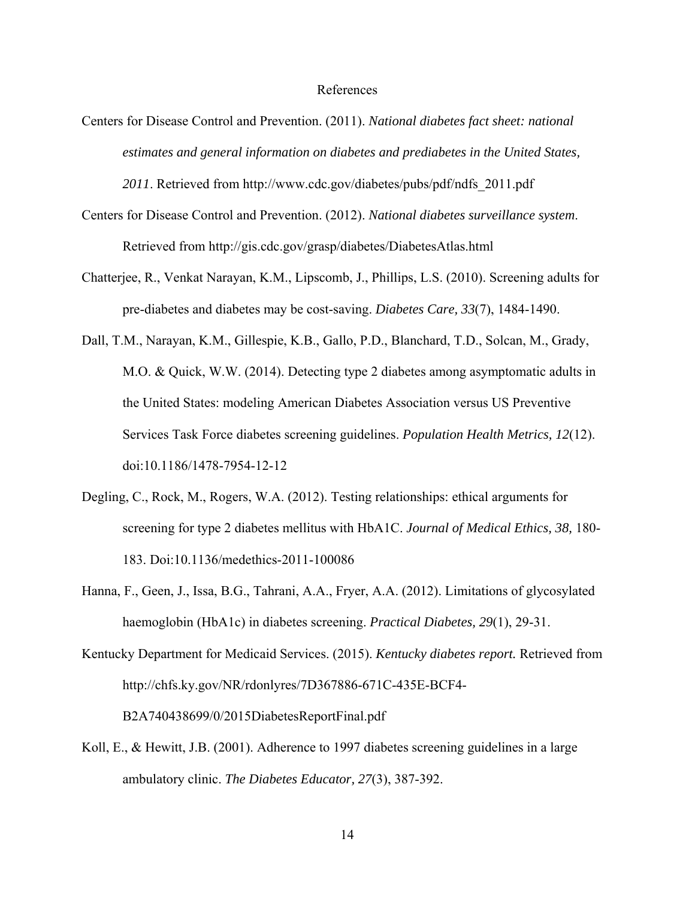#### References

Centers for Disease Control and Prevention. (2011). *National diabetes fact sheet: national estimates and general information on diabetes and prediabetes in the United States, 2011*. Retrieved from http://www.cdc.gov/diabetes/pubs/pdf/ndfs\_2011.pdf

Centers for Disease Control and Prevention. (2012). *National diabetes surveillance system*. Retrieved from http://gis.cdc.gov/grasp/diabetes/DiabetesAtlas.html

- Chatterjee, R., Venkat Narayan, K.M., Lipscomb, J., Phillips, L.S. (2010). Screening adults for pre-diabetes and diabetes may be cost-saving. *Diabetes Care, 33*(7), 1484-1490.
- Dall, T.M., Narayan, K.M., Gillespie, K.B., Gallo, P.D., Blanchard, T.D., Solcan, M., Grady, M.O. & Quick, W.W. (2014). Detecting type 2 diabetes among asymptomatic adults in the United States: modeling American Diabetes Association versus US Preventive Services Task Force diabetes screening guidelines. *Population Health Metrics, 12*(12). doi:10.1186/1478-7954-12-12
- Degling, C., Rock, M., Rogers, W.A. (2012). Testing relationships: ethical arguments for screening for type 2 diabetes mellitus with HbA1C. *Journal of Medical Ethics, 38,* 180- 183. Doi:10.1136/medethics-2011-100086
- Hanna, F., Geen, J., Issa, B.G., Tahrani, A.A., Fryer, A.A. (2012). Limitations of glycosylated haemoglobin (HbA1c) in diabetes screening. *Practical Diabetes, 29*(1), 29-31.
- Kentucky Department for Medicaid Services. (2015). *Kentucky diabetes report.* Retrieved from http://chfs.ky.gov/NR/rdonlyres/7D367886-671C-435E-BCF4- B2A740438699/0/2015DiabetesReportFinal.pdf
- Koll, E., & Hewitt, J.B. (2001). Adherence to 1997 diabetes screening guidelines in a large ambulatory clinic. *The Diabetes Educator, 27*(3), 387-392.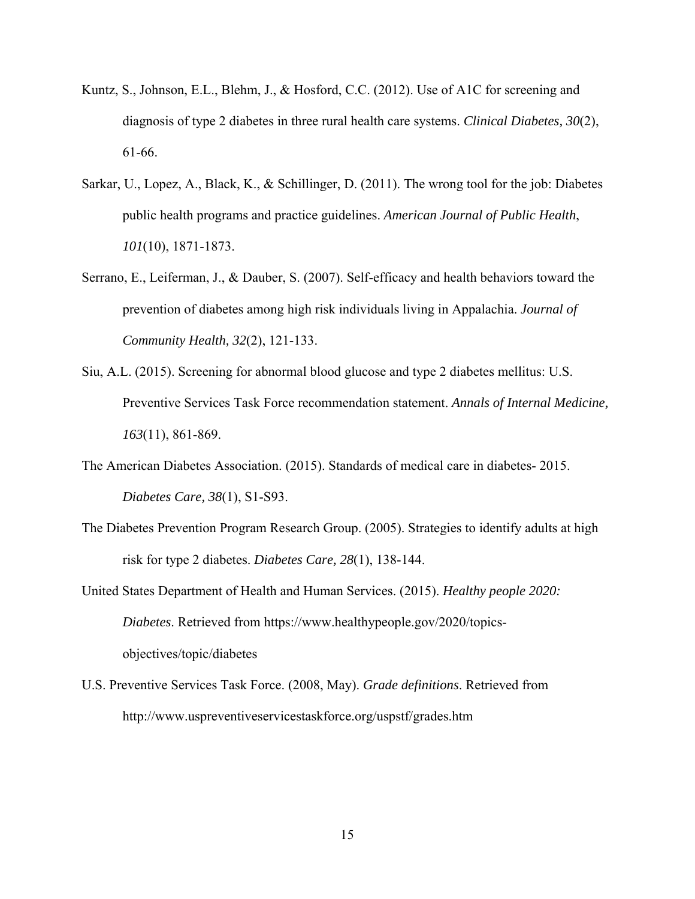- Kuntz, S., Johnson, E.L., Blehm, J., & Hosford, C.C. (2012). Use of A1C for screening and diagnosis of type 2 diabetes in three rural health care systems. *Clinical Diabetes, 30*(2), 61-66.
- Sarkar, U., Lopez, A., Black, K., & Schillinger, D. (2011). The wrong tool for the job: Diabetes public health programs and practice guidelines. *American Journal of Public Health*, *101*(10), 1871-1873.
- Serrano, E., Leiferman, J., & Dauber, S. (2007). Self-efficacy and health behaviors toward the prevention of diabetes among high risk individuals living in Appalachia. *Journal of Community Health, 32*(2), 121-133.
- Siu, A.L. (2015). Screening for abnormal blood glucose and type 2 diabetes mellitus: U.S. Preventive Services Task Force recommendation statement. *Annals of Internal Medicine, 163*(11), 861-869.
- The American Diabetes Association. (2015). Standards of medical care in diabetes- 2015. *Diabetes Care, 38*(1), S1-S93.
- The Diabetes Prevention Program Research Group. (2005). Strategies to identify adults at high risk for type 2 diabetes. *Diabetes Care, 28*(1), 138-144.
- United States Department of Health and Human Services. (2015). *Healthy people 2020: Diabetes*. Retrieved from https://www.healthypeople.gov/2020/topicsobjectives/topic/diabetes
- U.S. Preventive Services Task Force. (2008, May). *Grade definitions*. Retrieved from http://www.uspreventiveservicestaskforce.org/uspstf/grades.htm